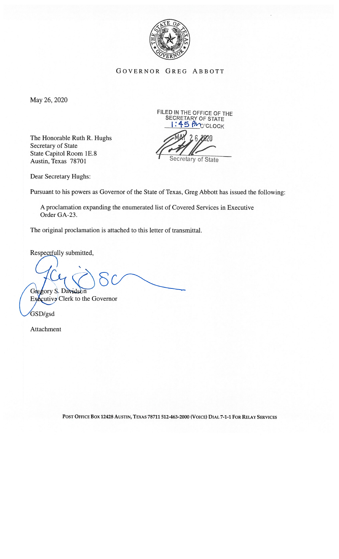

GovERNoR GREG ABBOTT

May 26, 2020

The Honorable Ruth R. Hughs Secretary of State State Capitol Room 1E.8 Austin, Texas 78701

FILED IN THE OFFICE OF THE SECRETARY OF STATE IN THE OFFICE OF 1<br>CRETARY OF STATE<br><mark>! : 45 PM</mark>O'CLOCK Secretary of State

Dear Secretary Hughs:

Pursuant to his powers as Governor of the State of Texas, Greg Abbott has issued the following:

A proclamation expanding the enumerated list of Covered Services in Executive Order GA-23.

The original proclamation is attached to this letter of transmittal.

Respectfully submitted,

 $\sum$ Gregory S. Davidson

 $Ex\&$ cutive Clerk to the Governor

GSD/gsd

Attachment

POST OFFICE BOX 12428 AUSTIN, TEXAS 78711 512-463-2000 (VOICE) DIAL 7-1-1 FOR RELAY SERVICES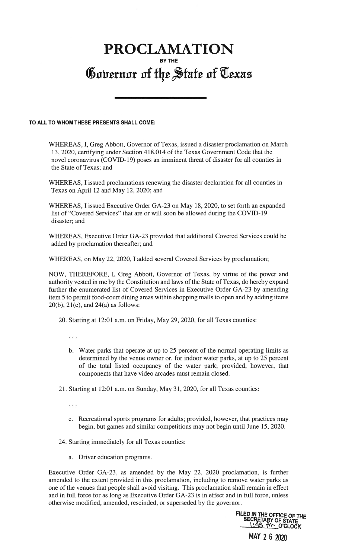## PROCLAMATION BY THE Governor of the State of Texas

## TO ALL TO WHOM THESE PRESENTS SHALL COME:

WHEREAS, I, Greg Abbott, Governor of Texas, issued a disaster proclamation on March 13, 2020, certifying under Section 418.014 of the Texas Government Code that the novel coronavirus (COVID-19) poses an imminent threat of disaster for all counties in the State of Texas; and

WHEREAS, I issued proclamations renewing the disaster declaration for all counties in Texas on April 12 and May 12, 2020; and

WHEREAS, I issued Executive Order GA-23 on May 18, 2020, to set forth an expanded list of "Covered Services" that are or will soon be allowed during the COVID-19 disaster; and

WHEREAS, Executive Order GA-23 provided that additional Covered Services could be added by proclamation thereafter; and

WHEREAS, on May 22, 2020, I added several Covered Services by proclamation;

NOW, THEREFORE, I, Greg Abbott, Governor of Texas, by virtue of the power and authority vested in me by the Constitution and laws of the State of Texas, do hereby expand further the enumerated list of Covered Services in Executive Order GA-23 by amending item 5 to permit food-court dining areas within shopping malls to open and by adding items  $20(b)$ ,  $21(e)$ , and  $24(a)$  as follows:

20. Starting at 12:01 a.m. on Friday, May 29, 2020, for all Texas counties:

 $\cdots$ 

- b. Water parks that operate at up to 25 percent of the normal operating limits as determined by the venue owner or, for indoor water parks, at up to 25 percent of the total listed occupancy of the water park; provided, however, that components that have video arcades must remain closed.
- 21. Starting at 12:01 a.m. on Sunday, May 31, 2020, for all Texas counties:

 $\cdots$ 

e. Recreational sports programs for adults; provided, however, that practices may begin, but games and similar competitions may not begin until June 15, 2020.

24. Starting immediately for all Texas counties:

a. Driver education programs.

Executive Order GA-23, as amended by the May 22, 2020 proclamation, is further amended to the extent provided in this proclamation, including to remove water parks as one of the venues that people shall avoid visiting. This proclamation shall remain in effect and in full force for as long as Executive Order GA-23 is in effect and in full force, unless otherwise modified, amended, rescinded, or superseded by the governor.

FILED IN THE OFFICE OF THE<br>SECRETARY OF STATE

MAY 2 6 2020